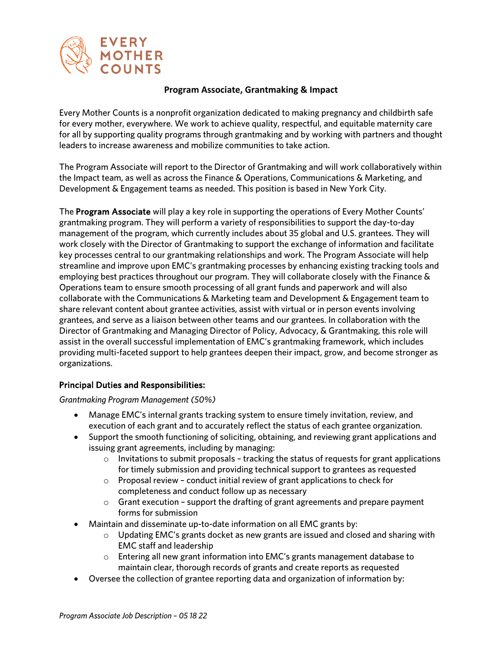

#### **Program Associate, Grantmaking & Impact**

Every Mother Counts is a nonprofit organization dedicated to making pregnancy and childbirth safe for every mother, everywhere. We work to achieve quality, respectful, and equitable maternity care for all by supporting quality programs through grantmaking and by working with partners and thought leaders to increase awareness and mobilize communities to take action.

The Program Associate will report to the Director of Grantmaking and will work collaboratively within the Impact team, as well as across the Finance & Operations, Communications & Marketing, and Development & Engagement teams as needed. This position is based in New York City.

The Program Associate will play a key role in supporting the operations of Every Mother Counts' grantmaking program. They will perform a variety of responsibilities to support the day-to-day management of the program, which currently includes about 35 global and U.S. grantees. They will work closely with the Director of Grantmaking to support the exchange of information and facilitate key processes central to our grantmaking relationships and work. The Program Associate will help streamline and improve upon EMC's grantmaking processes by enhancing existing tracking tools and employing best practices throughout our program. They will collaborate closely with the Finance & Operations team to ensure smooth processing of all grant funds and paperwork and will also collaborate with the Communications & Marketing team and Development & Engagement team to share relevant content about grantee activities, assist with virtual or in person events involving grantees, and serve as a liaison between other teams and our grantees. In collaboration with the Director of Grantmaking and Managing Director of Policy, Advocacy, & Grantmaking, this role will assist in the overall successful implementation of EMC's grantmaking framework, which includes providing multi-faceted support to help grantees deepen their impact, grow, and become stronger as organizations.

#### Principal Duties and Responsibilities:

*Grantmaking Program Management (50%)*

- Manage EMC's internal grants tracking system to ensure timely invitation, review, and execution of each grant and to accurately reflect the status of each grantee organization.
- Support the smooth functioning of soliciting, obtaining, and reviewing grant applications and issuing grant agreements, including by managing:
	- $\circ$  Invitations to submit proposals tracking the status of requests for grant applications for timely submission and providing technical support to grantees as requested
	- $\circ$  Proposal review conduct initial review of grant applications to check for completeness and conduct follow up as necessary
	- $\circ$  Grant execution support the drafting of grant agreements and prepare payment forms for submission
- Maintain and disseminate up-to-date information on all EMC grants by:
	- $\circ$  Updating EMC's grants docket as new grants are issued and closed and sharing with EMC staff and leadership
	- $\circ$  Entering all new grant information into EMC's grants management database to maintain clear, thorough records of grants and create reports as requested
- Oversee the collection of grantee reporting data and organization of information by: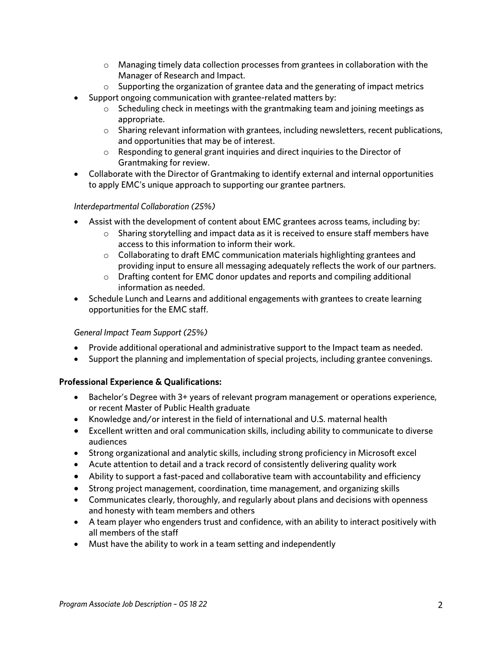- $\circ$  Managing timely data collection processes from grantees in collaboration with the Manager of Research and Impact.
- $\circ$  Supporting the organization of grantee data and the generating of impact metrics
- Support ongoing communication with grantee-related matters by:
	- $\circ$  Scheduling check in meetings with the grantmaking team and joining meetings as appropriate.
	- o Sharing relevant information with grantees, including newsletters, recent publications, and opportunities that may be of interest.
	- o Responding to general grant inquiries and direct inquiries to the Director of Grantmaking for review.
- Collaborate with the Director of Grantmaking to identify external and internal opportunities to apply EMC's unique approach to supporting our grantee partners.

#### *Interdepartmental Collaboration (25%)*

- Assist with the development of content about EMC grantees across teams, including by:
	- $\circ$  Sharing storytelling and impact data as it is received to ensure staff members have access to this information to inform their work.
	- o Collaborating to draft EMC communication materials highlighting grantees and providing input to ensure all messaging adequately reflects the work of our partners.
	- $\circ$  Drafting content for EMC donor updates and reports and compiling additional information as needed.
- Schedule Lunch and Learns and additional engagements with grantees to create learning opportunities for the EMC staff.

## *General Impact Team Support (25%)*

- Provide additional operational and administrative support to the Impact team as needed.
- Support the planning and implementation of special projects, including grantee convenings.

## Professional Experience & Qualifications:

- Bachelor's Degree with 3+ years of relevant program management or operations experience, or recent Master of Public Health graduate
- Knowledge and/or interest in the field of international and U.S. maternal health
- Excellent written and oral communication skills, including ability to communicate to diverse audiences
- Strong organizational and analytic skills, including strong proficiency in Microsoft excel
- Acute attention to detail and a track record of consistently delivering quality work
- Ability to support a fast-paced and collaborative team with accountability and efficiency
- Strong project management, coordination, time management, and organizing skills
- Communicates clearly, thoroughly, and regularly about plans and decisions with openness and honesty with team members and others
- A team player who engenders trust and confidence, with an ability to interact positively with all members of the staff
- Must have the ability to work in a team setting and independently